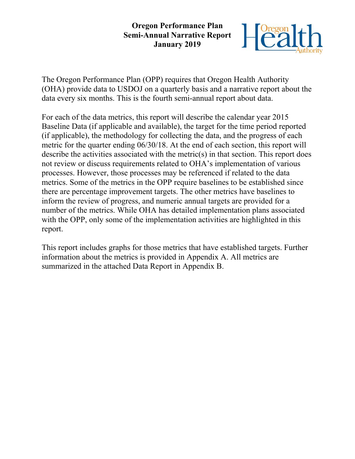#### **Oregon Performance Plan Semi-Annual Narrative Report January 2019**



The Oregon Performance Plan (OPP) requires that Oregon Health Authority (OHA) provide data to USDOJ on a quarterly basis and a narrative report about the data every six months. This is the fourth semi-annual report about data.

For each of the data metrics, this report will describe the calendar year 2015 Baseline Data (if applicable and available), the target for the time period reported (if applicable), the methodology for collecting the data, and the progress of each metric for the quarter ending 06/30/18. At the end of each section, this report will describe the activities associated with the metric(s) in that section. This report does not review or discuss requirements related to OHA's implementation of various processes. However, those processes may be referenced if related to the data metrics. Some of the metrics in the OPP require baselines to be established since there are percentage improvement targets. The other metrics have baselines to inform the review of progress, and numeric annual targets are provided for a number of the metrics. While OHA has detailed implementation plans associated with the OPP, only some of the implementation activities are highlighted in this report.

This report includes graphs for those metrics that have established targets. Further information about the metrics is provided in Appendix A. All metrics are summarized in the attached Data Report in Appendix B.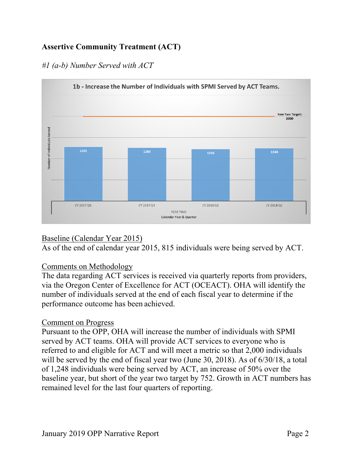## **Assertive Community Treatment (ACT)**

## *#1 (a-b) Number Served with ACT*



#### Baseline (Calendar Year 2015)

As of the end of calendar year 2015, 815 individuals were being served by ACT.

#### Comments on Methodology

The data regarding ACT services is received via quarterly reports from providers, via the Oregon Center of Excellence for ACT (OCEACT). OHA will identify the number of individuals served at the end of each fiscal year to determine if the performance outcome has been achieved.

#### Comment on Progress

Pursuant to the OPP, OHA will increase the number of individuals with SPMI served by ACT teams. OHA will provide ACT services to everyone who is referred to and eligible for ACT and will meet a metric so that 2,000 individuals will be served by the end of fiscal year two (June 30, 2018). As of 6/30/18, a total of 1,248 individuals were being served by ACT, an increase of 50% over the baseline year, but short of the year two target by 752. Growth in ACT numbers has remained level for the last four quarters of reporting.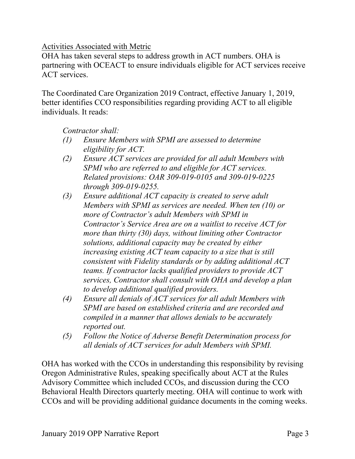#### Activities Associated with Metric

OHA has taken several steps to address growth in ACT numbers. OHA is partnering with OCEACT to ensure individuals eligible for ACT services receive ACT services.

The Coordinated Care Organization 2019 Contract, effective January 1, 2019, better identifies CCO responsibilities regarding providing ACT to all eligible individuals. It reads:

*Contractor shall:* 

- *(1) Ensure Members with SPMI are assessed to determine eligibility for ACT.*
- *(2) Ensure ACT services are provided for all adult Members with SPMI who are referred to and eligible for ACT services. Related provisions: OAR 309-019-0105 and 309-019-0225 through 309-019-0255.*
- *(3) Ensure additional ACT capacity is created to serve adult Members with SPMI as services are needed. When ten (10) or more of Contractor's adult Members with SPMI in Contractor's Service Area are on a waitlist to receive ACT for more than thirty (30) days, without limiting other Contractor solutions, additional capacity may be created by either increasing existing ACT team capacity to a size that is still consistent with Fidelity standards or by adding additional ACT teams. If contractor lacks qualified providers to provide ACT services, Contractor shall consult with OHA and develop a plan to develop additional qualified providers.*
- *(4) Ensure all denials of ACT services for all adult Members with SPMI are based on established criteria and are recorded and compiled in a manner that allows denials to be accurately reported out.*
- *(5) Follow the Notice of Adverse Benefit Determination process for all denials of ACT services for adult Members with SPMI.*

OHA has worked with the CCOs in understanding this responsibility by revising Oregon Administrative Rules, speaking specifically about ACT at the Rules Advisory Committee which included CCOs, and discussion during the CCO Behavioral Health Directors quarterly meeting. OHA will continue to work with CCOs and will be providing additional guidance documents in the coming weeks.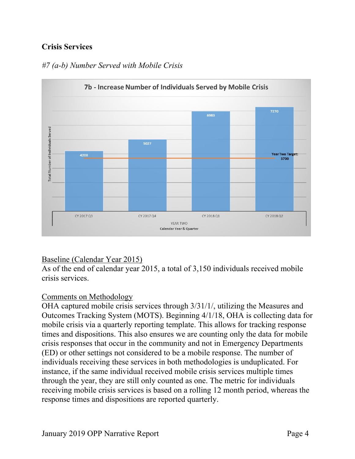## **Crisis Services**



## *#7 (a-b) Number Served with Mobile Crisis*

## Baseline (Calendar Year 2015)

As of the end of calendar year 2015, a total of 3,150 individuals received mobile crisis services.

#### Comments on Methodology

OHA captured mobile crisis services through 3/31/1/, utilizing the Measures and Outcomes Tracking System (MOTS). Beginning 4/1/18, OHA is collecting data for mobile crisis via a quarterly reporting template. This allows for tracking response times and dispositions. This also ensures we are counting only the data for mobile crisis responses that occur in the community and not in Emergency Departments (ED) or other settings not considered to be a mobile response. The number of individuals receiving these services in both methodologies is unduplicated. For instance, if the same individual received mobile crisis services multiple times through the year, they are still only counted as one. The metric for individuals receiving mobile crisis services is based on a rolling 12 month period, whereas the response times and dispositions are reported quarterly.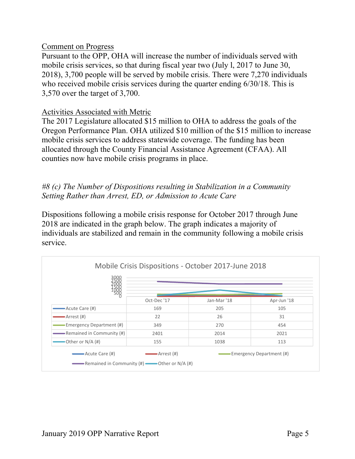#### Comment on Progress

Pursuant to the OPP, OHA will increase the number of individuals served with mobile crisis services, so that during fiscal year two (July l, 2017 to June 30, 2018), 3,700 people will be served by mobile crisis. There were 7,270 individuals who received mobile crisis services during the quarter ending 6/30/18. This is 3,570 over the target of 3,700.

#### Activities Associated with Metric

The 2017 Legislature allocated \$15 million to OHA to address the goals of the Oregon Performance Plan. OHA utilized \$10 million of the \$15 million to increase mobile crisis services to address statewide coverage. The funding has been allocated through the County Financial Assistance Agreement (CFAA). All counties now have mobile crisis programs in place.

*#8 (c) The Number of Dispositions resulting in Stabilization in a Community Setting Rather than Arrest, ED, or Admission to Acute Care* 

Dispositions following a mobile crisis response for October 2017 through June 2018 are indicated in the graph below. The graph indicates a majority of individuals are stabilized and remain in the community following a mobile crisis service.

|                                                | Oct-Dec '17 | Jan-Mar '18 | Apr-Jun '18 |
|------------------------------------------------|-------------|-------------|-------------|
| Acute Care (#)                                 | 169         | 205         | 105         |
| ➡Arrest (#)                                    | 22          | 26          | 31          |
| -Emergency Department (#)                      | 349         | 270         | 454         |
| $\longrightarrow$ Remained in Community $(\#)$ | 2401        | 2014        | 2021        |
| Other or N/A (#)                               | 155         | 1038        | 113         |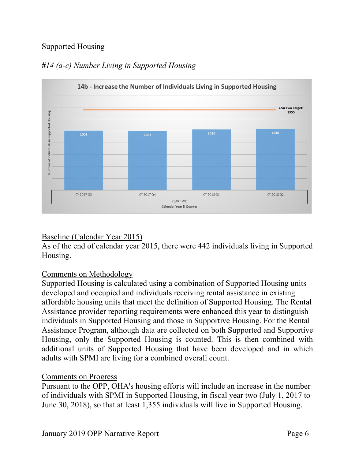## Supported Housing



## *#14 (a-c) Number Living in Supported Housing*

## Baseline (Calendar Year 2015)

As of the end of calendar year 2015, there were 442 individuals living in Supported Housing.

#### Comments on Methodology

Supported Housing is calculated using a combination of Supported Housing units developed and occupied and individuals receiving rental assistance in existing affordable housing units that meet the definition of Supported Housing. The Rental Assistance provider reporting requirements were enhanced this year to distinguish individuals in Supported Housing and those in Supportive Housing. For the Rental Assistance Program, although data are collected on both Supported and Supportive Housing, only the Supported Housing is counted. This is then combined with additional units of Supported Housing that have been developed and in which adults with SPMI are living for a combined overall count.

#### Comments on Progress

Pursuant to the OPP, OHA's housing efforts will include an increase in the number of individuals with SPMI in Supported Housing, in fiscal year two (July 1, 2017 to June 30, 2018), so that at least 1,355 individuals will live in Supported Housing.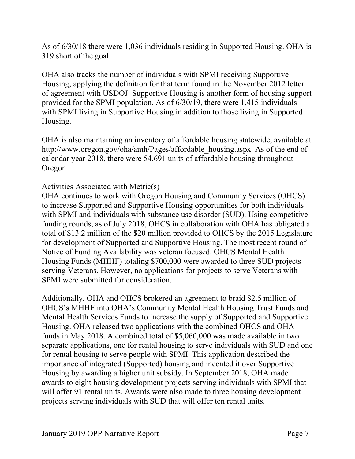As of 6/30/18 there were 1,036 individuals residing in Supported Housing. OHA is 319 short of the goal.

OHA also tracks the number of individuals with SPMI receiving Supportive Housing, applying the definition for that term found in the November 2012 letter of agreement with USDOJ. Supportive Housing is another form of housing support provided for the SPMI population. As of 6/30/19, there were 1,415 individuals with SPMI living in Supportive Housing in addition to those living in Supported Housing.

OHA is also maintaining an inventory of affordable housing statewide, available at http://www.oregon.gov/oha/amh/Pages/affordable\_housing.aspx. As of the end of calendar year 2018, there were 54.691 units of affordable housing throughout Oregon.

#### Activities Associated with Metric(s)

OHA continues to work with Oregon Housing and Community Services (OHCS) to increase Supported and Supportive Housing opportunities for both individuals with SPMI and individuals with substance use disorder (SUD). Using competitive funding rounds, as of July 2018, OHCS in collaboration with OHA has obligated a total of \$13.2 million of the \$20 million provided to OHCS by the 2015 Legislature for development of Supported and Supportive Housing. The most recent round of Notice of Funding Availability was veteran focused. OHCS Mental Health Housing Funds (MHHF) totaling \$700,000 were awarded to three SUD projects serving Veterans. However, no applications for projects to serve Veterans with SPMI were submitted for consideration.

Additionally, OHA and OHCS brokered an agreement to braid \$2.5 million of OHCS's MHHF into OHA's Community Mental Health Housing Trust Funds and Mental Health Services Funds to increase the supply of Supported and Supportive Housing. OHA released two applications with the combined OHCS and OHA funds in May 2018. A combined total of \$5,060,000 was made available in two separate applications, one for rental housing to serve individuals with SUD and one for rental housing to serve people with SPMI. This application described the importance of integrated (Supported) housing and incented it over Supportive Housing by awarding a higher unit subsidy. In September 2018, OHA made awards to eight housing development projects serving individuals with SPMI that will offer 91 rental units. Awards were also made to three housing development projects serving individuals with SUD that will offer ten rental units.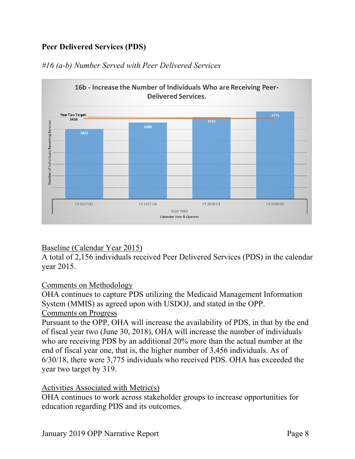## **Peer Delivered Services (PDS)**



*#16 (a-b) Number Served with Peer Delivered Services* 

## Baseline (Calendar Year 2015)

A total of 2,156 individuals received Peer Delivered Services (PDS) in the calendar year 2015.

Comments on Methodology

OHA continues to capture PDS utilizing the Medicaid Management Information System (MMIS) as agreed upon with USDOJ, and stated in the OPP. Comments on Progress

Pursuant to the OPP, OHA will increase the availability of PDS, in that by the end of fiscal year two (June 30, 2018), OHA will increase the number of individuals who are receiving PDS by an additional 20% more than the actual number at the end of fiscal year one, that is, the higher number of 3,456 individuals. As of 6/30/18, there were 3,775 individuals who received PDS. OHA has exceeded the year two target by 319.

## Activities Associated with Metric(s)

OHA continues to work across stakeholder groups to increase opportunities for education regarding PDS and its outcomes.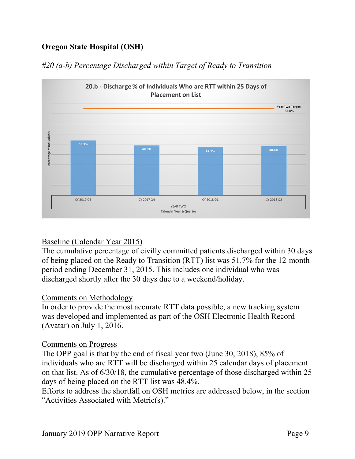## **Oregon State Hospital (OSH)**





#### Baseline (Calendar Year 2015)

The cumulative percentage of civilly committed patients discharged within 30 days of being placed on the Ready to Transition (RTT) list was 51.7% for the 12-month period ending December 31, 2015. This includes one individual who was discharged shortly after the 30 days due to a weekend/holiday.

#### Comments on Methodology

In order to provide the most accurate RTT data possible, a new tracking system was developed and implemented as part of the OSH Electronic Health Record (Avatar) on July 1, 2016.

#### Comments on Progress

The OPP goal is that by the end of fiscal year two (June 30, 2018), 85% of individuals who are RTT will be discharged within 25 calendar days of placement on that list. As of 6/30/18, the cumulative percentage of those discharged within 25 days of being placed on the RTT list was 48.4%.

Efforts to address the shortfall on OSH metrics are addressed below, in the section "Activities Associated with Metric(s)."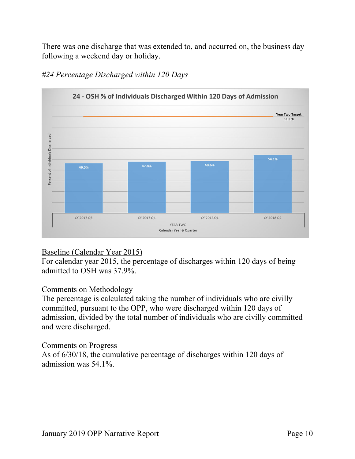There was one discharge that was extended to, and occurred on, the business day following a weekend day or holiday.



*#24 Percentage Discharged within 120 Days* 

## Baseline (Calendar Year 2015)

For calendar year 2015, the percentage of discharges within 120 days of being admitted to OSH was 37.9%.

#### Comments on Methodology

The percentage is calculated taking the number of individuals who are civilly committed, pursuant to the OPP, who were discharged within 120 days of admission, divided by the total number of individuals who are civilly committed and were discharged.

#### Comments on Progress

As of 6/30/18, the cumulative percentage of discharges within 120 days of admission was 54.1%.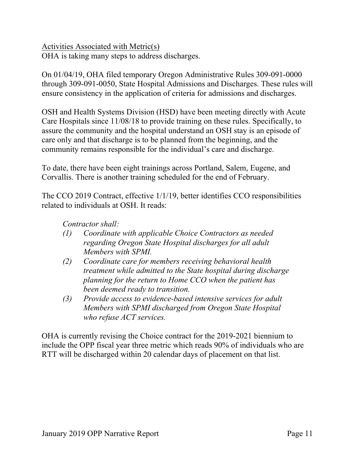Activities Associated with Metric(s)

OHA is taking many steps to address discharges.

On 01/04/19, OHA filed temporary Oregon Administrative Rules 309-091-0000 through 309-091-0050, State Hospital Admissions and Discharges. These rules will ensure consistency in the application of criteria for admissions and discharges.

OSH and Health Systems Division (HSD) have been meeting directly with Acute Care Hospitals since 11/08/18 to provide training on these rules. Specifically, to assure the community and the hospital understand an OSH stay is an episode of care only and that discharge is to be planned from the beginning, and the community remains responsible for the individual's care and discharge.

To date, there have been eight trainings across Portland, Salem, Eugene, and Corvallis. There is another training scheduled for the end of February.

The CCO 2019 Contract, effective 1/1/19, better identifies CCO responsibilities related to individuals at OSH. It reads:

*Contractor shall:* 

- *(1) Coordinate with applicable Choice Contractors as needed regarding Oregon State Hospital discharges for all adult Members with SPMI.*
- *(2) Coordinate care for members receiving behavioral health treatment while admitted to the State hospital during discharge planning for the return to Home CCO when the patient has been deemed ready to transition.*
- *(3) Provide access to evidence-based intensive services for adult Members with SPMI discharged from Oregon State Hospital who refuse ACT services.*

OHA is currently revising the Choice contract for the 2019-2021 biennium to include the OPP fiscal year three metric which reads 90% of individuals who are RTT will be discharged within 20 calendar days of placement on that list.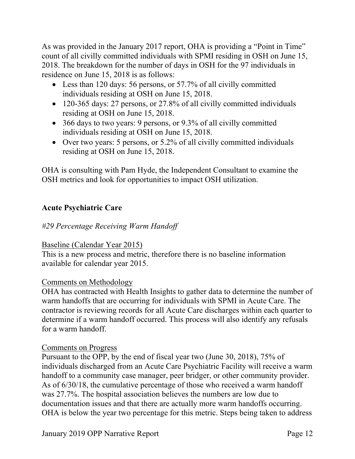As was provided in the January 2017 report, OHA is providing a "Point in Time" count of all civilly committed individuals with SPMI residing in OSH on June 15, 2018. The breakdown for the number of days in OSH for the 97 individuals in residence on June 15, 2018 is as follows:

- Less than 120 days: 56 persons, or 57.7% of all civilly committed individuals residing at OSH on June 15, 2018.
- 120-365 days: 27 persons, or 27.8% of all civilly committed individuals residing at OSH on June 15, 2018.
- 366 days to two years: 9 persons, or 9.3% of all civilly committed individuals residing at OSH on June 15, 2018.
- Over two years: 5 persons, or 5.2% of all civilly committed individuals residing at OSH on June 15, 2018.

OHA is consulting with Pam Hyde, the Independent Consultant to examine the OSH metrics and look for opportunities to impact OSH utilization.

## **Acute Psychiatric Care**

### *#29 Percentage Receiving Warm Handoff*

#### Baseline (Calendar Year 2015)

This is a new process and metric, therefore there is no baseline information available for calendar year 2015.

#### Comments on Methodology

OHA has contracted with Health Insights to gather data to determine the number of warm handoffs that are occurring for individuals with SPMI in Acute Care. The contractor is reviewing records for all Acute Care discharges within each quarter to determine if a warm handoff occurred. This process will also identify any refusals for a warm handoff.

#### Comments on Progress

Pursuant to the OPP, by the end of fiscal year two (June 30, 2018), 75% of individuals discharged from an Acute Care Psychiatric Facility will receive a warm handoff to a community case manager, peer bridger, or other community provider. As of 6/30/18, the cumulative percentage of those who received a warm handoff was 27.7%. The hospital association believes the numbers are low due to documentation issues and that there are actually more warm handoffs occurring. OHA is below the year two percentage for this metric. Steps being taken to address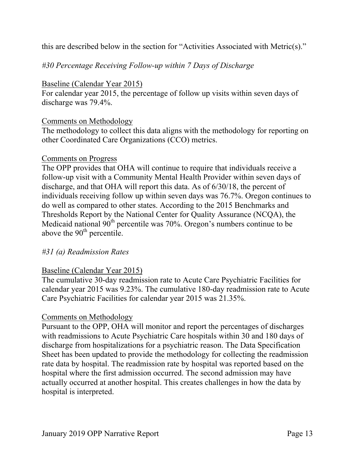this are described below in the section for "Activities Associated with Metric(s)."

*#30 Percentage Receiving Follow-up within 7 Days of Discharge* 

## Baseline (Calendar Year 2015)

For calendar year 2015, the percentage of follow up visits within seven days of discharge was 79.4%.

### Comments on Methodology

The methodology to collect this data aligns with the methodology for reporting on other Coordinated Care Organizations (CCO) metrics.

#### Comments on Progress

The OPP provides that OHA will continue to require that individuals receive a follow-up visit with a Community Mental Health Provider within seven days of discharge, and that OHA will report this data. As of 6/30/18, the percent of individuals receiving follow up within seven days was 76.7%. Oregon continues to do well as compared to other states. According to the 2015 Benchmarks and Thresholds Report by the National Center for Quality Assurance (NCQA), the Medicaid national  $90<sup>th</sup>$  percentile was 70%. Oregon's numbers continue to be above the  $90<sup>th</sup>$  percentile.

## *#31 (a) Readmission Rates*

## Baseline (Calendar Year 2015)

The cumulative 30-day readmission rate to Acute Care Psychiatric Facilities for calendar year 2015 was 9.23%. The cumulative 180-day readmission rate to Acute Care Psychiatric Facilities for calendar year 2015 was 21.35%.

## Comments on Methodology

Pursuant to the OPP, OHA will monitor and report the percentages of discharges with readmissions to Acute Psychiatric Care hospitals within 30 and 180 days of discharge from hospitalizations for a psychiatric reason. The Data Specification Sheet has been updated to provide the methodology for collecting the readmission rate data by hospital. The readmission rate by hospital was reported based on the hospital where the first admission occurred. The second admission may have actually occurred at another hospital. This creates challenges in how the data by hospital is interpreted.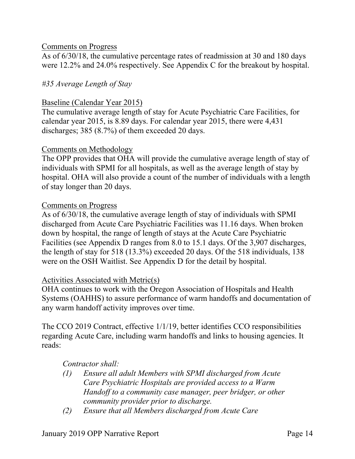#### Comments on Progress

As of 6/30/18, the cumulative percentage rates of readmission at 30 and 180 days were 12.2% and 24.0% respectively. See Appendix C for the breakout by hospital.

#### *#35 Average Length of Stay*

#### Baseline (Calendar Year 2015)

The cumulative average length of stay for Acute Psychiatric Care Facilities, for calendar year 2015, is 8.89 days. For calendar year 2015, there were 4,431 discharges; 385 (8.7%) of them exceeded 20 days.

#### Comments on Methodology

The OPP provides that OHA will provide the cumulative average length of stay of individuals with SPMI for all hospitals, as well as the average length of stay by hospital. OHA will also provide a count of the number of individuals with a length of stay longer than 20 days.

#### Comments on Progress

As of 6/30/18, the cumulative average length of stay of individuals with SPMI discharged from Acute Care Psychiatric Facilities was 11.16 days. When broken down by hospital, the range of length of stays at the Acute Care Psychiatric Facilities (see Appendix D ranges from 8.0 to 15.1 days. Of the 3,907 discharges, the length of stay for 518 (13.3%) exceeded 20 days. Of the 518 individuals, 138 were on the OSH Waitlist. See Appendix D for the detail by hospital.

#### Activities Associated with Metric(s)

OHA continues to work with the Oregon Association of Hospitals and Health Systems (OAHHS) to assure performance of warm handoffs and documentation of any warm handoff activity improves over time.

The CCO 2019 Contract, effective 1/1/19, better identifies CCO responsibilities regarding Acute Care, including warm handoffs and links to housing agencies. It reads:

#### *Contractor shall:*

- *(1) Ensure all adult Members with SPMI discharged from Acute Care Psychiatric Hospitals are provided access to a Warm Handoff to a community case manager, peer bridger, or other community provider prior to discharge.*
- *(2) Ensure that all Members discharged from Acute Care*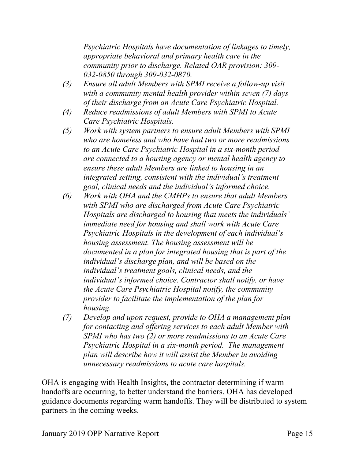*Psychiatric Hospitals have documentation of linkages to timely, appropriate behavioral and primary health care in the community prior to discharge. Related OAR provision: 309- 032-0850 through 309-032-0870.* 

- *(3) Ensure all adult Members with SPMI receive a follow-up visit with a community mental health provider within seven (7) days of their discharge from an Acute Care Psychiatric Hospital.*
- *(4) Reduce readmissions of adult Members with SPMI to Acute Care Psychiatric Hospitals.*
- *(5) Work with system partners to ensure adult Members with SPMI who are homeless and who have had two or more readmissions to an Acute Care Psychiatric Hospital in a six-month period are connected to a housing agency or mental health agency to ensure these adult Members are linked to housing in an integrated setting, consistent with the individual's treatment goal, clinical needs and the individual's informed choice.*
- *(6) Work with OHA and the CMHPs to ensure that adult Members with SPMI who are discharged from Acute Care Psychiatric Hospitals are discharged to housing that meets the individuals' immediate need for housing and shall work with Acute Care Psychiatric Hospitals in the development of each individual's housing assessment. The housing assessment will be documented in a plan for integrated housing that is part of the individual's discharge plan, and will be based on the individual's treatment goals, clinical needs, and the individual's informed choice. Contractor shall notify, or have the Acute Care Psychiatric Hospital notify, the community provider to facilitate the implementation of the plan for housing.*
- *(7) Develop and upon request, provide to OHA a management plan for contacting and offering services to each adult Member with SPMI who has two (2) or more readmissions to an Acute Care Psychiatric Hospital in a six-month period. The management plan will describe how it will assist the Member in avoiding unnecessary readmissions to acute care hospitals.*

OHA is engaging with Health Insights, the contractor determining if warm handoffs are occurring, to better understand the barriers. OHA has developed guidance documents regarding warm handoffs. They will be distributed to system partners in the coming weeks.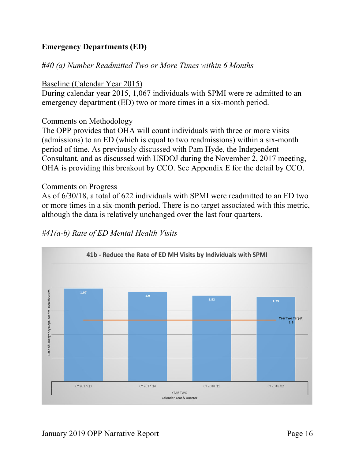### **Emergency Departments (ED)**

#### *#40 (a) Number Readmitted Two or More Times within 6 Months*

#### Baseline (Calendar Year 2015)

During calendar year 2015, 1,067 individuals with SPMI were re-admitted to an emergency department (ED) two or more times in a six-month period.

#### Comments on Methodology

The OPP provides that OHA will count individuals with three or more visits (admissions) to an ED (which is equal to two readmissions) within a six-month period of time. As previously discussed with Pam Hyde, the Independent Consultant, and as discussed with USDOJ during the November 2, 2017 meeting, OHA is providing this breakout by CCO. See Appendix E for the detail by CCO.

#### Comments on Progress

As of 6/30/18, a total of 622 individuals with SPMI were readmitted to an ED two or more times in a six-month period. There is no target associated with this metric, although the data is relatively unchanged over the last four quarters.

*#41(a-b) Rate of ED Mental Health Visits* 

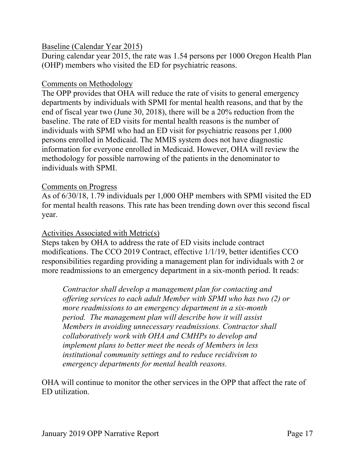#### Baseline (Calendar Year 2015)

During calendar year 2015, the rate was 1.54 persons per 1000 Oregon Health Plan (OHP) members who visited the ED for psychiatric reasons.

#### Comments on Methodology

The OPP provides that OHA will reduce the rate of visits to general emergency departments by individuals with SPMI for mental health reasons, and that by the end of fiscal year two (June 30, 2018), there will be a 20% reduction from the baseline. The rate of ED visits for mental health reasons is the number of individuals with SPMI who had an ED visit for psychiatric reasons per 1,000 persons enrolled in Medicaid. The MMIS system does not have diagnostic information for everyone enrolled in Medicaid. However, OHA will review the methodology for possible narrowing of the patients in the denominator to individuals with SPMI.

#### Comments on Progress

As of 6/30/18, 1.79 individuals per 1,000 OHP members with SPMI visited the ED for mental health reasons. This rate has been trending down over this second fiscal year.

#### Activities Associated with Metric(s)

Steps taken by OHA to address the rate of ED visits include contract modifications. The CCO 2019 Contract, effective 1/1/19, better identifies CCO responsibilities regarding providing a management plan for individuals with 2 or more readmissions to an emergency department in a six-month period. It reads:

*Contractor shall develop a management plan for contacting and offering services to each adult Member with SPMI who has two (2) or more readmissions to an emergency department in a six-month period. The management plan will describe how it will assist Members in avoiding unnecessary readmissions. Contractor shall collaboratively work with OHA and CMHPs to develop and implement plans to better meet the needs of Members in less institutional community settings and to reduce recidivism to emergency departments for mental health reasons.* 

OHA will continue to monitor the other services in the OPP that affect the rate of ED utilization.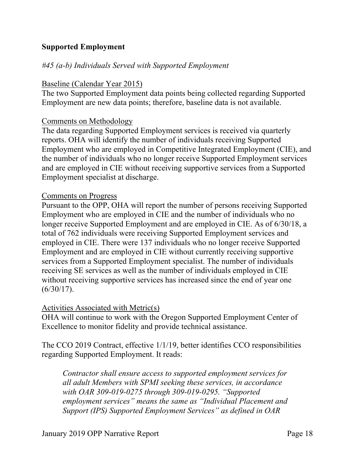#### **Supported Employment**

#### *#45 (a-b) Individuals Served with Supported Employment*

#### Baseline (Calendar Year 2015)

The two Supported Employment data points being collected regarding Supported Employment are new data points; therefore, baseline data is not available.

#### Comments on Methodology

The data regarding Supported Employment services is received via quarterly reports. OHA will identify the number of individuals receiving Supported Employment who are employed in Competitive Integrated Employment (CIE), and the number of individuals who no longer receive Supported Employment services and are employed in CIE without receiving supportive services from a Supported Employment specialist at discharge.

#### Comments on Progress

Pursuant to the OPP, OHA will report the number of persons receiving Supported Employment who are employed in CIE and the number of individuals who no longer receive Supported Employment and are employed in CIE. As of 6/30/18, a total of 762 individuals were receiving Supported Employment services and employed in CIE. There were 137 individuals who no longer receive Supported Employment and are employed in CIE without currently receiving supportive services from a Supported Employment specialist. The number of individuals receiving SE services as well as the number of individuals employed in CIE without receiving supportive services has increased since the end of year one  $(6/30/17)$ .

#### Activities Associated with Metric(s)

OHA will continue to work with the Oregon Supported Employment Center of Excellence to monitor fidelity and provide technical assistance.

The CCO 2019 Contract, effective 1/1/19, better identifies CCO responsibilities regarding Supported Employment. It reads:

*Contractor shall ensure access to supported employment services for all adult Members with SPMI seeking these services, in accordance with OAR 309-019-0275 through 309-019-0295. "Supported employment services" means the same as "Individual Placement and Support (IPS) Supported Employment Services" as defined in OAR*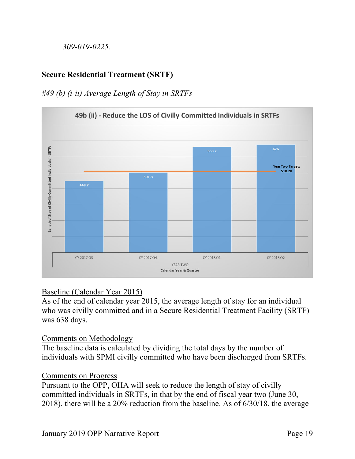*309-019-0225.* 

## **Secure Residential Treatment (SRTF)**

## *#49 (b) (i-ii) Average Length of Stay in SRTFs*



#### Baseline (Calendar Year 2015)

As of the end of calendar year 2015, the average length of stay for an individual who was civilly committed and in a Secure Residential Treatment Facility (SRTF) was 638 days.

#### Comments on Methodology

The baseline data is calculated by dividing the total days by the number of individuals with SPMI civilly committed who have been discharged from SRTFs.

#### Comments on Progress

Pursuant to the OPP, OHA will seek to reduce the length of stay of civilly committed individuals in SRTFs, in that by the end of fiscal year two (June 30, 2018), there will be a 20% reduction from the baseline. As of 6/30/18, the average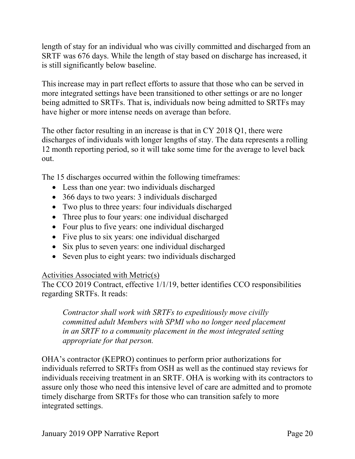length of stay for an individual who was civilly committed and discharged from an SRTF was 676 days. While the length of stay based on discharge has increased, it is still significantly below baseline.

This increase may in part reflect efforts to assure that those who can be served in more integrated settings have been transitioned to other settings or are no longer being admitted to SRTFs. That is, individuals now being admitted to SRTFs may have higher or more intense needs on average than before.

The other factor resulting in an increase is that in CY 2018 Q1, there were discharges of individuals with longer lengths of stay. The data represents a rolling 12 month reporting period, so it will take some time for the average to level back out.

The 15 discharges occurred within the following timeframes:

- Less than one year: two individuals discharged
- 366 days to two years: 3 individuals discharged
- Two plus to three years: four individuals discharged
- Three plus to four years: one individual discharged
- Four plus to five years: one individual discharged
- Five plus to six years: one individual discharged
- Six plus to seven years: one individual discharged
- Seven plus to eight years: two individuals discharged

#### Activities Associated with Metric(s)

The CCO 2019 Contract, effective 1/1/19, better identifies CCO responsibilities regarding SRTFs. It reads:

*Contractor shall work with SRTFs to expeditiously move civilly committed adult Members with SPMI who no longer need placement in an SRTF to a community placement in the most integrated setting appropriate for that person.* 

OHA's contractor (KEPRO) continues to perform prior authorizations for individuals referred to SRTFs from OSH as well as the continued stay reviews for individuals receiving treatment in an SRTF. OHA is working with its contractors to assure only those who need this intensive level of care are admitted and to promote timely discharge from SRTFs for those who can transition safely to more integrated settings.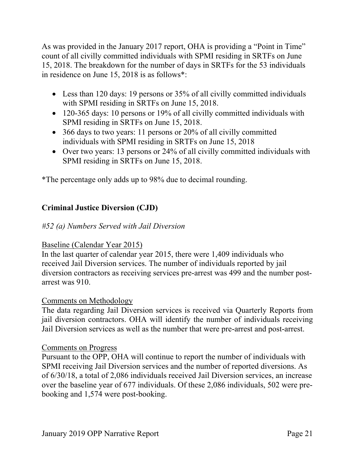As was provided in the January 2017 report, OHA is providing a "Point in Time" count of all civilly committed individuals with SPMI residing in SRTFs on June 15, 2018. The breakdown for the number of days in SRTFs for the 53 individuals in residence on June 15, 2018 is as follows\*:

- Less than 120 days: 19 persons or 35% of all civilly committed individuals with SPMI residing in SRTFs on June 15, 2018.
- 120-365 days: 10 persons or 19% of all civilly committed individuals with SPMI residing in SRTFs on June 15, 2018.
- 366 days to two years: 11 persons or 20% of all civilly committed individuals with SPMI residing in SRTFs on June 15, 2018
- Over two years: 13 persons or 24% of all civilly committed individuals with SPMI residing in SRTFs on June 15, 2018.

\*The percentage only adds up to 98% due to decimal rounding.

### **Criminal Justice Diversion (CJD)**

#### *#52 (a) Numbers Served with Jail Diversion*

#### Baseline (Calendar Year 2015)

In the last quarter of calendar year 2015, there were 1,409 individuals who received Jail Diversion services. The number of individuals reported by jail diversion contractors as receiving services pre-arrest was 499 and the number postarrest was 910.

#### Comments on Methodology

The data regarding Jail Diversion services is received via Quarterly Reports from jail diversion contractors. OHA will identify the number of individuals receiving Jail Diversion services as well as the number that were pre-arrest and post-arrest.

#### Comments on Progress

Pursuant to the OPP, OHA will continue to report the number of individuals with SPMI receiving Jail Diversion services and the number of reported diversions. As of 6/30/18, a total of 2,086 individuals received Jail Diversion services, an increase over the baseline year of 677 individuals. Of these 2,086 individuals, 502 were prebooking and 1,574 were post-booking.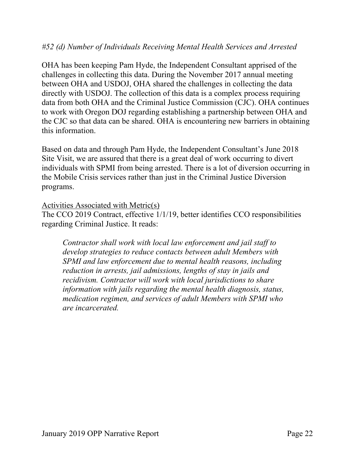#### *#52 (d) Number of Individuals Receiving Mental Health Services and Arrested*

OHA has been keeping Pam Hyde, the Independent Consultant apprised of the challenges in collecting this data. During the November 2017 annual meeting between OHA and USDOJ, OHA shared the challenges in collecting the data directly with USDOJ. The collection of this data is a complex process requiring data from both OHA and the Criminal Justice Commission (CJC). OHA continues to work with Oregon DOJ regarding establishing a partnership between OHA and the CJC so that data can be shared. OHA is encountering new barriers in obtaining this information.

Based on data and through Pam Hyde, the Independent Consultant's June 2018 Site Visit, we are assured that there is a great deal of work occurring to divert individuals with SPMI from being arrested. There is a lot of diversion occurring in the Mobile Crisis services rather than just in the Criminal Justice Diversion programs.

#### Activities Associated with Metric(s)

The CCO 2019 Contract, effective 1/1/19, better identifies CCO responsibilities regarding Criminal Justice. It reads:

*Contractor shall work with local law enforcement and jail staff to develop strategies to reduce contacts between adult Members with SPMI and law enforcement due to mental health reasons, including reduction in arrests, jail admissions, lengths of stay in jails and recidivism. Contractor will work with local jurisdictions to share information with jails regarding the mental health diagnosis, status, medication regimen, and services of adult Members with SPMI who are incarcerated.*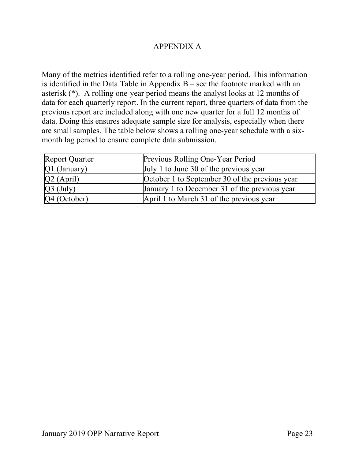#### APPENDIX A

Many of the metrics identified refer to a rolling one-year period. This information is identified in the Data Table in Appendix B – see the footnote marked with an asterisk (\*). A rolling one-year period means the analyst looks at 12 months of data for each quarterly report. In the current report, three quarters of data from the previous report are included along with one new quarter for a full 12 months of data. Doing this ensures adequate sample size for analysis, especially when there are small samples. The table below shows a rolling one-year schedule with a sixmonth lag period to ensure complete data submission.

| <b>Report Quarter</b> | Previous Rolling One-Year Period               |
|-----------------------|------------------------------------------------|
| Q1 (January)          | July 1 to June 30 of the previous year         |
| $Q2$ (April)          | October 1 to September 30 of the previous year |
| $Q3$ (July)           | January 1 to December 31 of the previous year  |
| Q4 (October)          | April 1 to March 31 of the previous year       |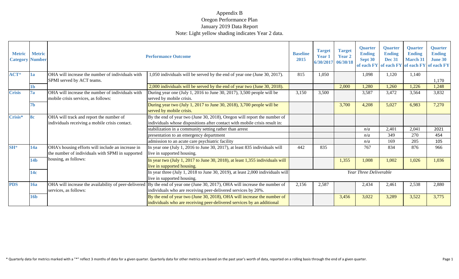| <b>Metric</b><br><b>Metric</b><br><b>Category Number</b> |                 | <b>Performance Outcome</b>                                                                            |                                                                                                                                                                                               | <b>Baseline</b><br>2015 | <b>Target</b><br><b>Year 1</b> | <b>Target</b><br><b>Year 2</b> | <b>Quarter</b><br><b>Ending</b> | <b>Quarter</b><br><b>Ending</b><br><b>Dec 31</b> | <b>Quarter</b><br><b>Ending</b><br><b>March 31</b> | <b>Quarter</b><br><b>Ending</b><br><b>June 30</b> |
|----------------------------------------------------------|-----------------|-------------------------------------------------------------------------------------------------------|-----------------------------------------------------------------------------------------------------------------------------------------------------------------------------------------------|-------------------------|--------------------------------|--------------------------------|---------------------------------|--------------------------------------------------|----------------------------------------------------|---------------------------------------------------|
|                                                          |                 |                                                                                                       |                                                                                                                                                                                               |                         | 6/30/2017 06/30/18             |                                | Sept 30<br>of each FY           |                                                  | of each FY of each FY of each FY                   |                                                   |
| $ACT*$                                                   | 1a              | OHA will increase the number of individuals with<br>SPMI served by ACT teams.                         | 1,050 individuals will be served by the end of year one (June 30, 2017).                                                                                                                      | 815                     | 1,050                          |                                | 1,098                           | 1,120                                            | 1,140                                              | 1,170                                             |
|                                                          | 1b.             |                                                                                                       | 2,000 individuals will be served by the end of year two (June 30, 2018).                                                                                                                      |                         |                                | 2,000                          | 1,280                           | 1,260                                            | 1,226                                              | 1,248                                             |
| <b>Crisis</b>                                            | 7a              | OHA will increase the number of individuals with<br>mobile crisis services, as follows:               | During year one (July 1, 2016 to June 30, 2017), 3,500 people will be<br>served by mobile crisis.                                                                                             | 3,150                   | 3,500                          |                                | 3,587                           | 3,472                                            | 3,564                                              | 3,832                                             |
|                                                          | 7b              |                                                                                                       | During year two (July 1, 2017 to June 30, 2018), 3,700 people will be<br>served by mobile crisis.                                                                                             |                         |                                | 3,700                          | 4,208                           | 5,027                                            | 6,983                                              | 7,270                                             |
| Crisis*                                                  | <b>8c</b>       | OHA will track and report the number of<br>individuals receiving a mobile crisis contact.             | By the end of year two (June 30, 2018), Oregon will report the number of<br>individuals whose dispositions after contact with mobile crisis result in:                                        |                         |                                |                                |                                 |                                                  |                                                    |                                                   |
|                                                          |                 |                                                                                                       | stabilization in a community setting rather than arrest                                                                                                                                       |                         |                                |                                | n/a                             | 2,401                                            | 2,041                                              | 2021                                              |
|                                                          |                 |                                                                                                       | presentation to an emergency department                                                                                                                                                       |                         |                                |                                | n/a                             | 349                                              | 270                                                | 454                                               |
|                                                          |                 |                                                                                                       | admission to an acute care psychiatric facility                                                                                                                                               |                         |                                |                                | n/a                             | 169                                              | 205                                                | 105                                               |
| $SH*$                                                    | 14a             | OHA's housing efforts will include an increase in<br>the number of individuals with SPMI in supported | In year one (July 1, 2016 to June 30, 2017), at least 835 individuals will<br>live in supported housing.                                                                                      | 442                     | 835                            |                                | 767                             | 834                                              | 876                                                | 966                                               |
|                                                          | 14 <sub>b</sub> | housing, as follows:                                                                                  | In year two (July 1, 2017 to June 30, 2018), at least 1,355 individuals will<br>live in supported housing.                                                                                    |                         |                                | 1,355                          | 1,008                           | 1,002                                            | 1,026                                              | 1,036                                             |
|                                                          | 14c             |                                                                                                       | In year three (July 1, 2018 to June 30, 2019), at least 2,000 individuals will<br>live in supported housing.                                                                                  |                         |                                |                                | Year Three Deliverable          |                                                  |                                                    |                                                   |
| <b>PDS</b>                                               | <b>16a</b>      | services, as follows:                                                                                 | OHA will increase the availability of peer-delivered By the end of year one (June 30, 2017), OHA will increase the number of<br>individuals who are receiving peer-delivered services by 20%. | 2,156                   | 2,587                          |                                | 2,434                           | 2,461                                            | 2,538                                              | 2,880                                             |
|                                                          | 16 <sub>b</sub> |                                                                                                       | By the end of year two (June 30, 2018), OHA will increase the number of<br>individuals who are receiving peer-delivered services by an additional                                             |                         |                                | 3,456                          | 3,022                           | 3,289                                            | 3,522                                              | 3,775                                             |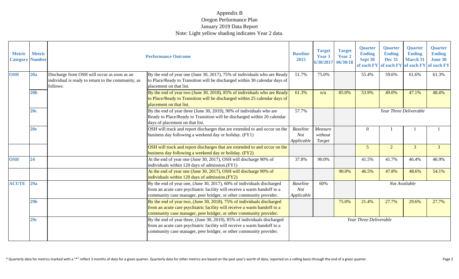| <b>Metric</b><br><b>Category Number</b> | <b>Metric</b>   |                                                                                                               | <b>Performance Outcome</b>                                                                                                                                                                                                 | <b>Baseline</b><br>2015              | <b>Target</b><br>Year 1<br>6/30/2017 | <b>Target</b><br><b>Year 2</b><br>06/30/18 | <b>Quarter</b><br><b>Ending</b><br>Sept 30<br>of each FY | <b>Quarter</b><br><b>Ending</b><br><b>Dec 31</b><br>of each FY | <b>Quarter</b><br><b>Ending</b><br><b>March 31</b><br>of each FY | <b>Quarter</b><br><b>Ending</b><br><b>June 30</b><br>of each FY |
|-----------------------------------------|-----------------|---------------------------------------------------------------------------------------------------------------|----------------------------------------------------------------------------------------------------------------------------------------------------------------------------------------------------------------------------|--------------------------------------|--------------------------------------|--------------------------------------------|----------------------------------------------------------|----------------------------------------------------------------|------------------------------------------------------------------|-----------------------------------------------------------------|
| <b>OSH</b>                              | 20a             | Discharge from OSH will occur as soon as an<br>individual is ready to return to the community, as<br>follows: | By the end of year one (June 30, 2017), 75% of individuals who are Ready<br>to Place/Ready to Transition will be discharged within 30 calendar days of<br>placement on that list.                                          | 51.7%                                | 75.0%                                |                                            | 55.4%                                                    | 59.6%                                                          | 61.6%                                                            | 61.3%                                                           |
|                                         | 20 <sub>b</sub> |                                                                                                               | By the end of year two (June 30, 2018), 85% of individuals who are Ready<br>to Place/Ready to Transition will be discharged within 25 calendar days of<br>placement on that list.                                          | 61.3%                                | n/a                                  | 85.0%                                      | 53.9%                                                    | 49.0%                                                          | 47.1%                                                            | 48.4%                                                           |
|                                         | 20c             |                                                                                                               | By the end of year three (June 30, 2019), 90% of individuals who are<br>Ready to Place/Ready to Transition will be discharged within 20 calendar<br>days of placement on that list.                                        | 57.7%                                |                                      |                                            |                                                          |                                                                | Year Three Deliverable                                           |                                                                 |
|                                         | 20e             |                                                                                                               | OSH will track and report discharges that are extended to and occur on the<br>business day following a weekend day or holiday. (FY1)                                                                                       | <b>Baseline</b><br>Not<br>Applicable | Measure<br>without<br>Target         |                                            | $\Omega$                                                 |                                                                |                                                                  |                                                                 |
|                                         |                 |                                                                                                               | OSH will track and report discharges that are extended to and occur on the<br>business day following a weekend day or holiday. (FY2)                                                                                       |                                      |                                      |                                            | $5\overline{)}$                                          | $\overline{2}$                                                 | $\overline{3}$                                                   | $\overline{3}$                                                  |
| <b>OSH</b>                              | 24              |                                                                                                               | At the end of year one (June 30, 2017), OSH will discharge 90% of<br>individuals within 120 days of admission.(FY1)                                                                                                        | 37.8%                                | 90.0%                                |                                            | 41.5%                                                    | 41.7%                                                          | 46.4%                                                            | 46.9%                                                           |
|                                         |                 |                                                                                                               | At the end of year one (June 30, 2017), OSH will discharge 90% of<br>individuals within 120 days of admission.(FY2)                                                                                                        |                                      |                                      | 90.0%                                      | 46.5%                                                    | 47.8%                                                          | 48.6%                                                            | 54.1%                                                           |
| <b>ACUTE</b>                            | 29a             |                                                                                                               | By the end of year one, (June 30, 2017), 60% of individuals discharged<br>from an acute care psychiatric facility will receive a warm handoff to a<br>community case manager, peer bridger, or other community provider.   | <b>Baseline</b><br>Not<br>Applicable | 60%                                  |                                            |                                                          |                                                                | Not Available                                                    |                                                                 |
|                                         | 29 <sub>b</sub> |                                                                                                               | By the end of year two, (June 30, 2018), 75% of individuals discharged<br>from an acute care psychiatric facility will receive a warm handoff to a<br>community case manager, peer bridger, or other community provider.   |                                      |                                      | 75.0%                                      | 21.4%                                                    | 27.7%                                                          | 29.6%                                                            | 27.7%                                                           |
|                                         | 29c             |                                                                                                               | By the end of year three, (June 30, 2019), 85% of individuals discharged<br>from an acute care psychiatric facility will receive a warm handoff to a<br>community case manager, peer bridger, or other community provider. |                                      |                                      |                                            | Year Three Deliverable                                   |                                                                |                                                                  |                                                                 |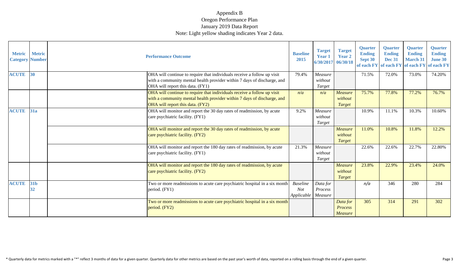|              | Metric Metric<br><b>Category Number</b> | <b>Performance Outcome</b>                                                                                                                                                             | <b>Baseline</b><br>2015              | <b>Target</b><br>Year 1        | <b>Target</b><br><b>Year 2</b><br>6/30/2017 06/30/18 | <b>Quarter</b><br><b>Ending</b><br>Sept 30 | <b>Quarter</b><br><b>Ending</b><br><b>Dec 31</b> | <b>Ouarter</b><br><b>Ending</b><br><b>March 31</b> | <b>Quarter</b><br><b>Ending</b><br><b>June 30</b><br>of each FY of each FY of each FY of each FY |
|--------------|-----------------------------------------|----------------------------------------------------------------------------------------------------------------------------------------------------------------------------------------|--------------------------------------|--------------------------------|------------------------------------------------------|--------------------------------------------|--------------------------------------------------|----------------------------------------------------|--------------------------------------------------------------------------------------------------|
| <b>ACUTE</b> | 30                                      | OHA will continue to require that individuals receive a follow up visit<br>with a community mental health provider within 7 days of discharge, and<br>OHA will report this data. (FY1) | 79.4%                                | Measure<br>without<br>Target   |                                                      | 71.5%                                      | 72.0%                                            | 73.0%                                              | 74.20%                                                                                           |
|              |                                         | OHA will continue to require that individuals receive a follow up visit<br>with a community mental health provider within 7 days of discharge, and<br>OHA will report this data. (FY2) | n/a                                  | n/a                            | <b>Measure</b><br>without<br>Target                  | 75.7%                                      | 77.8%                                            | 77.2%                                              | 76.7%                                                                                            |
| <b>ACUTE</b> | <b>31a</b>                              | OHA will monitor and report the 30 day rates of readmission, by acute<br>care psychiatric facility. (FY1)                                                                              | 9.2%                                 | Measure<br>without<br>Target   |                                                      | 10.9%                                      | 11.1%                                            | 10.3%                                              | 10.60%                                                                                           |
|              |                                         | OHA will monitor and report the 30 day rates of readmission, by acute<br>care psychiatric facility. (FY2)                                                                              |                                      |                                | <b>Measure</b><br>without<br>Target                  | 11.0%                                      | 10.8%                                            | 11.8%                                              | 12.2%                                                                                            |
|              |                                         | OHA will monitor and report the 180 day rates of readmission, by acute<br>care psychiatric facility. (FY1)                                                                             | 21.3%                                | Measure<br>without<br>Target   |                                                      | 22.6%                                      | 22.6%                                            | 22.7%                                              | 22.80%                                                                                           |
|              |                                         | OHA will monitor and report the 180 day rates of readmission, by acute<br>care psychiatric facility. (FY2)                                                                             |                                      |                                | <b>Measure</b><br>without<br><b>Target</b>           | 23.8%                                      | 22.9%                                            | 23.4%                                              | 24.0%                                                                                            |
| <b>ACUTE</b> | <b>31b</b><br>32                        | Two or more readmissions to acute care psychiatric hospital in a six month<br>period. (FY1)                                                                                            | <b>Baseline</b><br>Not<br>Applicable | Data for<br>Process<br>Measure |                                                      | n/a                                        | 346                                              | 280                                                | 284                                                                                              |
|              |                                         | Two or more readmissions to acute care psychiatric hospital in a six month<br>period. (FY2)                                                                                            |                                      |                                | Data for<br><b>Process</b><br>Measure                | 305                                        | 314                                              | 291                                                | 302                                                                                              |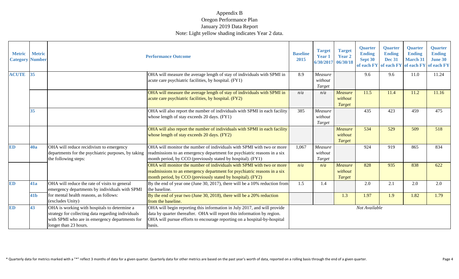| <b>Metric</b><br><b>Category Number</b> | <b>Metric</b>   |                                                                                                                                                                               | <b>Performance Outcome</b>                                                                                                                                                                                                                | <b>Baseline</b><br>2015 | <b>Target</b><br><b>Year 1</b><br>6/30/2017 | <b>Target</b><br>Year 2<br>06/30/18 | <b>Quarter</b><br><b>Ending</b><br>Sept 30<br>of each FY | <b>Quarter</b><br><b>Ending</b><br><b>Dec 31</b> | <b>Quarter</b><br><b>Ending</b><br><b>March 31</b><br>of each FY of each FY | <b>Quarter</b><br><b>Ending</b><br><b>June 30</b><br>of each FY |
|-----------------------------------------|-----------------|-------------------------------------------------------------------------------------------------------------------------------------------------------------------------------|-------------------------------------------------------------------------------------------------------------------------------------------------------------------------------------------------------------------------------------------|-------------------------|---------------------------------------------|-------------------------------------|----------------------------------------------------------|--------------------------------------------------|-----------------------------------------------------------------------------|-----------------------------------------------------------------|
| <b>ACUTE</b>                            | 35              |                                                                                                                                                                               | OHA will measure the average length of stay of individuals with SPMI in<br>acute care psychiatric facilities, by hospital. (FY1)                                                                                                          | 8.9                     | Measure<br>without<br>Target                |                                     | 9.6                                                      | 9.6                                              | 11.0                                                                        | 11.24                                                           |
|                                         |                 |                                                                                                                                                                               | OHA will measure the average length of stay of individuals with SPMI in<br>acute care psychiatric facilities, by hospital. (FY2)                                                                                                          | n/a                     | n/a                                         | Measure<br>without<br>Target        | 11.5                                                     | 11.4                                             | 11.2                                                                        | 11.16                                                           |
|                                         | 35              |                                                                                                                                                                               | OHA will also report the number of individuals with SPMI in each facility<br>whose length of stay exceeds 20 days. (FY1)                                                                                                                  | 385                     | Measure<br>without<br>Target                |                                     | 435                                                      | 423                                              | 459                                                                         | 475                                                             |
|                                         |                 |                                                                                                                                                                               | OHA will also report the number of individuals with SPMI in each facility<br>whose length of stay exceeds 20 days. (FY2)                                                                                                                  |                         |                                             | Measure<br>without<br><b>Target</b> | 534                                                      | 529                                              | 509                                                                         | 518                                                             |
| <b>ED</b>                               | <b>40a</b>      | OHA will reduce recidivism to emergency<br>departments for the psychiatric purposes, by taking<br>the following steps:                                                        | OHA will monitor the number of individuals with SPMI with two or more<br>readmissions to an emergency department for psychiatric reasons in a six<br>month period, by CCO (previously stated by hospital). (FY1)                          | 1,067                   | Measure<br>without<br>Target                |                                     | 924                                                      | 919                                              | 865                                                                         | 834                                                             |
|                                         |                 |                                                                                                                                                                               | OHA will monitor the number of individuals with SPMI with two or more<br>readmissions to an emergency department for psychiatric reasons in a six<br>month period, by CCO (previously stated by hospital). (FY2)                          | n/a                     | n/a                                         | Measure<br>without<br>Target        | 828                                                      | 935                                              | 838                                                                         | 622                                                             |
| <b>ED</b>                               | 41a             | OHA will reduce the rate of visits to general<br>emergency departments by individuals with SPMI                                                                               | By the end of year one (June 30, 2017), there will be a 10% reduction from<br>the baseline.                                                                                                                                               | 1.5                     | 1.4                                         |                                     | 2.0                                                      | 2.1                                              | 2.0                                                                         | 2.0                                                             |
|                                         | 41 <sub>b</sub> | for mental health reasons, as follows:<br>(excludes Unity)                                                                                                                    | By the end of year two (June 30, 2018), there will be a $20\%$ reduction<br>from the baseline.                                                                                                                                            |                         |                                             | 1.3                                 | 1.97                                                     | 1.9                                              | 1.82                                                                        | 1.79                                                            |
| <b>ED</b>                               | 43              | OHA is working with hospitals to determine a<br>strategy for collecting data regarding individuals<br>with SPMI who are in emergency departments for<br>longer than 23 hours. | OHA will begin reporting this information in July 2017, and will provide<br>data by quarter thereafter. OHA will report this information by region.<br>OHA will pursue efforts to encourage reporting on a hospital-by-hospital<br>basis. |                         |                                             |                                     | Not Available                                            |                                                  |                                                                             |                                                                 |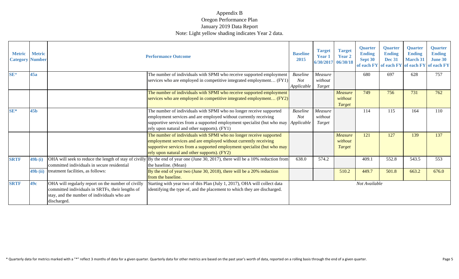| <b>Metric</b><br><b>Category Number</b> | <b>Metric</b>   |                                                                                                                                                                      | <b>Performance Outcome</b>                                                                                                                                                                                                                                                    | <b>Baseline</b><br>2015       | <b>Target</b><br><b>Year 1</b><br>6/30/2017 | <b>Target</b><br><b>Year 2</b><br>06/30/18 | <b>Quarter</b><br><b>Ending</b><br>Sept 30<br>of each FY | <b>Ouarter</b><br><b>Ending</b><br><b>Dec 31</b><br>of each FY of each FY | <b>Quarter</b><br><b>Ending</b><br><b>March 31</b> | <b>Quarter</b><br><b>Ending</b><br><b>June 30</b><br>of each FY |
|-----------------------------------------|-----------------|----------------------------------------------------------------------------------------------------------------------------------------------------------------------|-------------------------------------------------------------------------------------------------------------------------------------------------------------------------------------------------------------------------------------------------------------------------------|-------------------------------|---------------------------------------------|--------------------------------------------|----------------------------------------------------------|---------------------------------------------------------------------------|----------------------------------------------------|-----------------------------------------------------------------|
| $SE*$                                   | 45a             |                                                                                                                                                                      | The number of individuals with SPMI who receive supported employment                                                                                                                                                                                                          | <b>Baseline</b>               | Measure                                     |                                            | 680                                                      | 697                                                                       | 628                                                | 757                                                             |
|                                         |                 |                                                                                                                                                                      | services who are employed in competitive integrated employment (FY1)                                                                                                                                                                                                          | Not<br>Applicable             | without<br>Target                           |                                            |                                                          |                                                                           |                                                    |                                                                 |
|                                         |                 |                                                                                                                                                                      | The number of individuals with SPMI who receive supported employment<br>services who are employed in competitive integrated employment $(FY2)$                                                                                                                                |                               |                                             | Measure<br>without<br><b>Target</b>        | 749                                                      | 756                                                                       | 731                                                | 762                                                             |
| $SE*$                                   | 45 <sub>b</sub> |                                                                                                                                                                      | The number of individuals with SPMI who no longer receive supported<br>employment services and are employed without currently receiving<br>supportive services from a supported employment specialist (but who may Applicable<br>rely upon natural and other supports). (FY1) | <b>Baseline</b><br><b>Not</b> | Measure<br>without<br>Target                |                                            | 114                                                      | 115                                                                       | 164                                                | 110                                                             |
|                                         |                 |                                                                                                                                                                      | The number of individuals with SPMI who no longer receive supported<br>employment services and are employed without currently receiving<br>supportive services from a supported employment specialist (but who may<br>rely upon natural and other supports). (FY2)            |                               |                                             | Measure<br>without<br><b>Target</b>        | 121                                                      | 127                                                                       | 139                                                | 137                                                             |
| <b>SRTF</b>                             | 49b (i)         | committed individuals in secure residential                                                                                                                          | OHA will seek to reduce the length of stay of civilly $\vert$ By the end of year one (June 30, 2017), there will be a 10% reduction from<br>the baseline. (Mean)                                                                                                              | 638.0                         | 574.2                                       |                                            | 409.1                                                    | 552.8                                                                     | 543.5                                              | 553                                                             |
|                                         | $49b$ (ii)      | treatment facilities, as follows:                                                                                                                                    | By the end of year two (June 30, 2018), there will be a 20% reduction<br>from the baseline.                                                                                                                                                                                   |                               |                                             | 510.2                                      | 449.7                                                    | 501.8                                                                     | 663.2                                              | 676.0                                                           |
| <b>SRTF</b>                             | 49c             | OHA will regularly report on the number of civilly<br>committed individuals in SRTFs, their lengths of<br>stay, and the number of individuals who are<br>discharged. | Starting with year two of this Plan (July 1, 2017), OHA will collect data<br>identifying the type of, and the placement to which they are discharged.                                                                                                                         |                               |                                             |                                            | Not Available                                            |                                                                           |                                                    |                                                                 |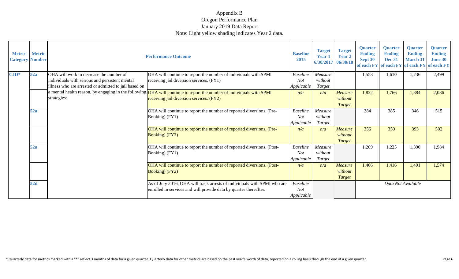| <b>Metric</b><br><b>Category Number</b> | <b>Metric</b> |                                                       | <b>Performance Outcome</b>                                                                                           | <b>Baseline</b><br>2015 | <b>Target</b><br><b>Year 1</b><br>6/30/2017 06/30/18 | <b>Target</b><br><b>Year 2</b> | <b>Quarter</b><br><b>Ending</b><br>Sept 30 | <b>Ouarter</b><br><b>Ending</b><br><b>Dec 31</b><br>of each FY of each FY | <b>Ouarter</b><br><b>Ending</b><br><b>March 31</b><br>of each FY of each FY | <b>Ouarter</b><br><b>Ending</b><br><b>June 30</b> |
|-----------------------------------------|---------------|-------------------------------------------------------|----------------------------------------------------------------------------------------------------------------------|-------------------------|------------------------------------------------------|--------------------------------|--------------------------------------------|---------------------------------------------------------------------------|-----------------------------------------------------------------------------|---------------------------------------------------|
| $\mathbf{CJD}^*$                        | 52a           | OHA will work to decrease the number of               | OHA will continue to report the number of individuals with SPMI                                                      | <b>Baseline</b>         | Measure                                              |                                | 1,553                                      | 1,610                                                                     | 1,736                                                                       | 2,499                                             |
|                                         |               | individuals with serious and persistent mental        | receiving jail diversion services. (FY1)                                                                             | <b>Not</b>              | without                                              |                                |                                            |                                                                           |                                                                             |                                                   |
|                                         |               | illness who are arrested or admitted to jail based on |                                                                                                                      | Applicable              | Target                                               |                                |                                            |                                                                           |                                                                             |                                                   |
|                                         |               |                                                       | a mental health reason, by engaging in the following OHA will continue to report the number of individuals with SPMI | n/a                     | n/a                                                  | <b>Measure</b>                 | 1,822                                      | 1,766                                                                     | 1,884                                                                       | 2,086                                             |
|                                         |               | strategies:                                           | receiving jail diversion services. (FY2)                                                                             |                         |                                                      | without                        |                                            |                                                                           |                                                                             |                                                   |
|                                         |               |                                                       |                                                                                                                      |                         |                                                      | <b>Target</b>                  |                                            |                                                                           |                                                                             |                                                   |
|                                         | 52a           |                                                       | OHA will continue to report the number of reported diversions. (Pre-                                                 | <b>Baseline</b>         | Measure                                              |                                | 284                                        | 385                                                                       | 346                                                                         | 515                                               |
|                                         |               |                                                       | Booking) (FY1)                                                                                                       | Not                     | without                                              |                                |                                            |                                                                           |                                                                             |                                                   |
|                                         |               |                                                       |                                                                                                                      | Applicable              | Target                                               |                                |                                            |                                                                           |                                                                             |                                                   |
|                                         |               |                                                       | OHA will continue to report the number of reported diversions. (Pre-                                                 | n/a                     | n/a                                                  | <b>Measure</b>                 | 356                                        | 350                                                                       | 393                                                                         | 502                                               |
|                                         |               |                                                       | <b>Booking</b> ) (FY2)                                                                                               |                         |                                                      | without                        |                                            |                                                                           |                                                                             |                                                   |
|                                         |               |                                                       |                                                                                                                      |                         |                                                      | Target                         |                                            |                                                                           |                                                                             |                                                   |
|                                         | 52a           |                                                       | OHA will continue to report the number of reported diversions. (Post-                                                | <b>Baseline</b>         | Measure                                              |                                | 1,269                                      | 1,225                                                                     | 1,390                                                                       | 1,984                                             |
|                                         |               |                                                       | Booking) (FY1)                                                                                                       | <b>Not</b>              | without                                              |                                |                                            |                                                                           |                                                                             |                                                   |
|                                         |               |                                                       |                                                                                                                      | Applicable              | Target                                               |                                |                                            |                                                                           |                                                                             |                                                   |
|                                         |               |                                                       | OHA will continue to report the number of reported diversions. (Post-                                                | n/a                     | n/a                                                  | <b>Measure</b>                 | 1,466                                      | 1,416                                                                     | 1,491                                                                       | 1,574                                             |
|                                         |               |                                                       | Booking) (FY2)                                                                                                       |                         |                                                      | without                        |                                            |                                                                           |                                                                             |                                                   |
|                                         |               |                                                       |                                                                                                                      |                         |                                                      | <b>Target</b>                  |                                            |                                                                           |                                                                             |                                                   |
|                                         | 52d           |                                                       | As of July 2016, OHA will track arrests of individuals with SPMI who are                                             | <b>Baseline</b>         |                                                      |                                |                                            |                                                                           | Data Not Available                                                          |                                                   |
|                                         |               |                                                       | enrolled in services and will provide data by quarter thereafter.                                                    | <b>Not</b>              |                                                      |                                |                                            |                                                                           |                                                                             |                                                   |
|                                         |               |                                                       |                                                                                                                      | Applicable              |                                                      |                                |                                            |                                                                           |                                                                             |                                                   |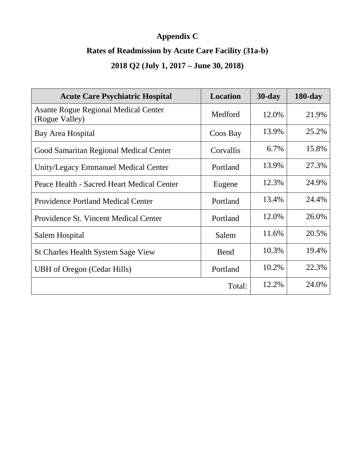# **Appendix C**

## **Rates of Readmission by Acute Care Facility (31a-b)**

## **2018 Q2 (July 1, 2017 – June 30, 2018)**

| <b>Acute Care Psychiatric Hospital</b>                        | <b>Location</b> | $30$ -day | $180$ -day |
|---------------------------------------------------------------|-----------------|-----------|------------|
| <b>Asante Rogue Regional Medical Center</b><br>(Rogue Valley) | Medford         | 12.0%     | 21.9%      |
| Bay Area Hospital                                             | Coos Bay        | 13.9%     | 25.2%      |
| Good Samaritan Regional Medical Center                        | Corvallis       | 6.7%      | 15.8%      |
| Unity/Legacy Emmanuel Medical Center                          | Portland        | 13.9%     | 27.3%      |
| Peace Health - Sacred Heart Medical Center                    | Eugene          | 12.3%     | 24.9%      |
| <b>Providence Portland Medical Center</b>                     | Portland        | 13.4%     | 24.4%      |
| Providence St. Vincent Medical Center                         | Portland        | 12.0%     | 26.0%      |
| Salem Hospital                                                | Salem           | 11.6%     | 20.5%      |
| <b>St Charles Health System Sage View</b>                     | Bend            | 10.3%     | 19.4%      |
| <b>UBH</b> of Oregon (Cedar Hills)                            | Portland        | 10.2%     | 22.3%      |
|                                                               | Total:          | 12.2%     | 24.0%      |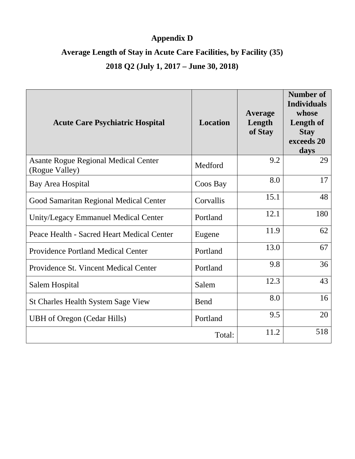## **Appendix D**

# **Average Length of Stay in Acute Care Facilities, by Facility (35)**

## **2018 Q2 (July 1, 2017 – June 30, 2018)**

| <b>Acute Care Psychiatric Hospital</b>                        | <b>Location</b> | Average<br>Length<br>of Stay | <b>Number of</b><br><b>Individuals</b><br>whose<br>Length of<br><b>Stay</b><br>exceeds 20<br>days |
|---------------------------------------------------------------|-----------------|------------------------------|---------------------------------------------------------------------------------------------------|
| <b>Asante Rogue Regional Medical Center</b><br>(Rogue Valley) | Medford         | 9.2                          | 29                                                                                                |
| Bay Area Hospital                                             | Coos Bay        | 8.0                          | 17                                                                                                |
| Good Samaritan Regional Medical Center                        | Corvallis       | 15.1                         | 48                                                                                                |
| Unity/Legacy Emmanuel Medical Center                          | Portland        | 12.1                         | 180                                                                                               |
| Peace Health - Sacred Heart Medical Center                    | Eugene          | 11.9                         | 62                                                                                                |
| <b>Providence Portland Medical Center</b>                     | Portland        | 13.0                         | 67                                                                                                |
| Providence St. Vincent Medical Center                         | Portland        | 9.8                          | 36                                                                                                |
| Salem Hospital                                                | Salem           | 12.3                         | 43                                                                                                |
| <b>St Charles Health System Sage View</b>                     | Bend            | 8.0                          | 16                                                                                                |
| <b>UBH</b> of Oregon (Cedar Hills)                            | Portland        | 9.5                          | 20                                                                                                |
|                                                               | Total:          | 11.2                         | 518                                                                                               |